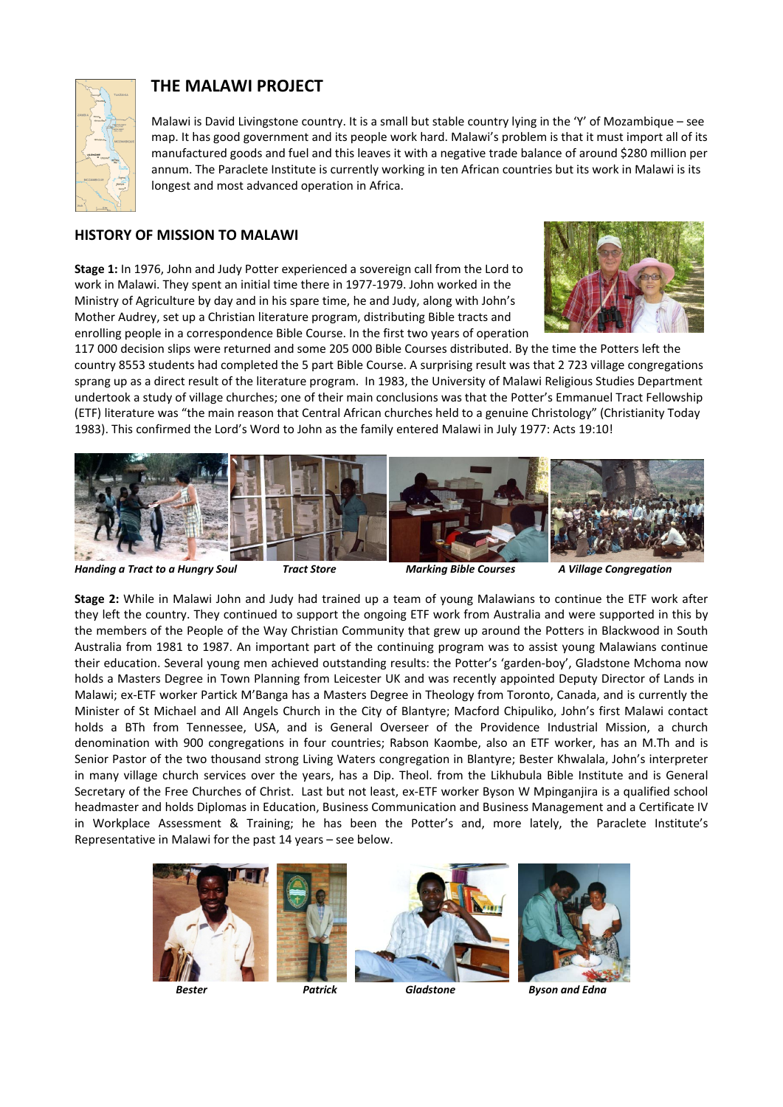

# **THE MALAWI PROJECT**

Malawi is David Livingstone country. It is a small but stable country lying in the 'Y' of Mozambique – see map. It has good government and its people work hard. Malawi's problem is that it must import all of its manufactured goods and fuel and this leaves it with a negative trade balance of around \$280 million per annum. The Paraclete Institute is currently working in ten African countries but its work in Malawi is its longest and most advanced operation in Africa.

### **HISTORY OF MISSION TO MALAWI**

**Stage 1:** In 1976, John and Judy Potter experienced a sovereign call from the Lord to work in Malawi. They spent an initial time there in 1977‐1979. John worked in the Ministry of Agriculture by day and in his spare time, he and Judy, along with John's Mother Audrey, set up a Christian literature program, distributing Bible tracts and enrolling people in a correspondence Bible Course. In the first two years of operation



117 000 decision slips were returned and some 205 000 Bible Courses distributed. By the time the Potters left the country 8553 students had completed the 5 part Bible Course. A surprising result was that 2 723 village congregations sprang up as a direct result of the literature program. In 1983, the University of Malawi Religious Studies Department undertook a study of village churches; one of their main conclusions was that the Potter's Emmanuel Tract Fellowship (ETF) literature was "the main reason that Central African churches held to a genuine Christology" (Christianity Today 1983). This confirmed the Lord's Word to John as the family entered Malawi in July 1977: Acts 19:10!



Handing a Tract to a Hungry Soul Tract Store Marking Bible Courses A Village Congregation

**Stage 2:** While in Malawi John and Judy had trained up a team of young Malawians to continue the ETF work after they left the country. They continued to support the ongoing ETF work from Australia and were supported in this by the members of the People of the Way Christian Community that grew up around the Potters in Blackwood in South Australia from 1981 to 1987. An important part of the continuing program was to assist young Malawians continue their education. Several young men achieved outstanding results: the Potter's 'garden‐boy', Gladstone Mchoma now holds a Masters Degree in Town Planning from Leicester UK and was recently appointed Deputy Director of Lands in Malawi; ex‐ETF worker Partick M'Banga has a Masters Degree in Theology from Toronto, Canada, and is currently the Minister of St Michael and All Angels Church in the City of Blantyre; Macford Chipuliko, John's first Malawi contact holds a BTh from Tennessee, USA, and is General Overseer of the Providence Industrial Mission, a church denomination with 900 congregations in four countries; Rabson Kaombe, also an ETF worker, has an M.Th and is Senior Pastor of the two thousand strong Living Waters congregation in Blantyre; Bester Khwalala, John's interpreter in many village church services over the years, has a Dip. Theol. from the Likhubula Bible Institute and is General Secretary of the Free Churches of Christ. Last but not least, ex‐ETF worker Byson W Mpinganjira is a qualified school headmaster and holds Diplomas in Education, Business Communication and Business Management and a Certificate IV in Workplace Assessment & Training; he has been the Potter's and, more lately, the Paraclete Institute's Representative in Malawi for the past 14 years – see below.





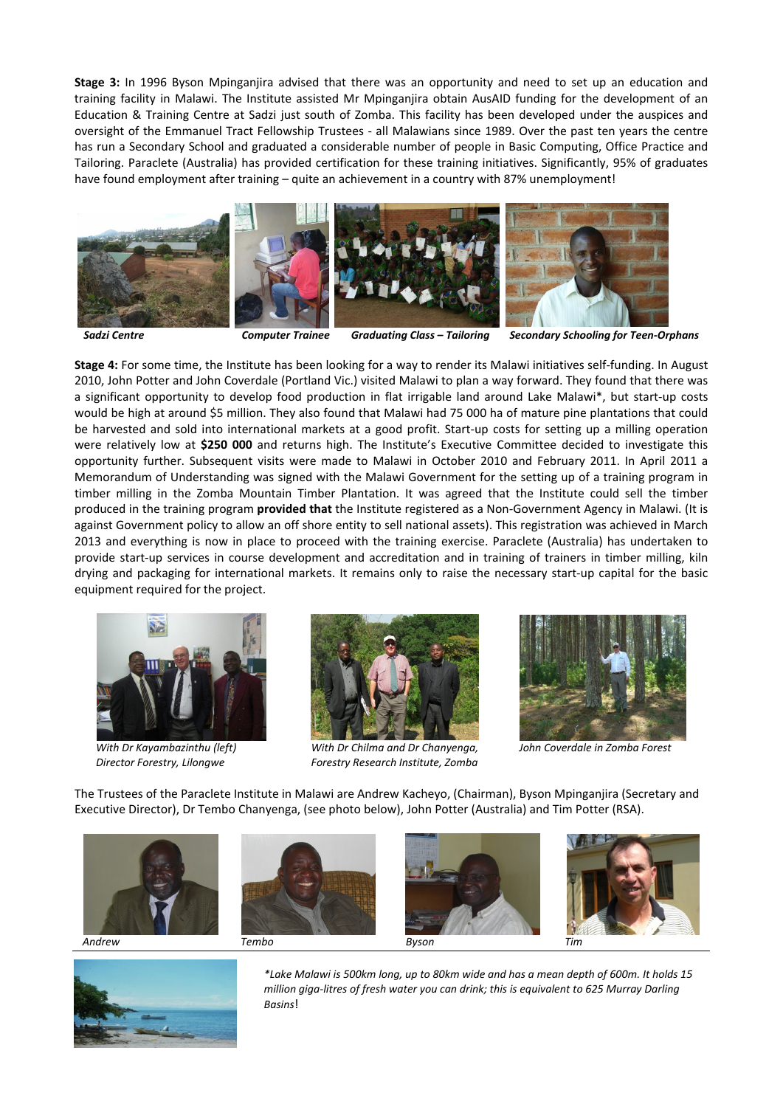**Stage 3:** In 1996 Byson Mpinganjira advised that there was an opportunity and need to set up an education and training facility in Malawi. The Institute assisted Mr Mpinganjira obtain AusAID funding for the development of an Education & Training Centre at Sadzi just south of Zomba. This facility has been developed under the auspices and oversight of the Emmanuel Tract Fellowship Trustees ‐ all Malawians since 1989. Over the past ten years the centre has run a Secondary School and graduated a considerable number of people in Basic Computing, Office Practice and Tailoring. Paraclete (Australia) has provided certification for these training initiatives. Significantly, 95% of graduates have found employment after training – quite an achievement in a country with 87% unemployment!



*Sadzi Centre Computer Trainee Graduating Class – Tailoring Secondary Schooling for Teen‐Orphans*

**Stage 4:** For some time, the Institute has been looking for a way to render its Malawi initiatives self‐funding. In August 2010, John Potter and John Coverdale (Portland Vic.) visited Malawi to plan a way forward. They found that there was a significant opportunity to develop food production in flat irrigable land around Lake Malawi\*, but start‐up costs would be high at around \$5 million. They also found that Malawi had 75 000 ha of mature pine plantations that could be harvested and sold into international markets at a good profit. Start-up costs for setting up a milling operation were relatively low at **\$250 000** and returns high. The Institute's Executive Committee decided to investigate this opportunity further. Subsequent visits were made to Malawi in October 2010 and February 2011. In April 2011 a Memorandum of Understanding was signed with the Malawi Government for the setting up of a training program in timber milling in the Zomba Mountain Timber Plantation. It was agreed that the Institute could sell the timber produced in the training program **provided that** the Institute registered as a Non‐Government Agency in Malawi. (It is against Government policy to allow an off shore entity to sell national assets). This registration was achieved in March 2013 and everything is now in place to proceed with the training exercise. Paraclete (Australia) has undertaken to provide start-up services in course development and accreditation and in training of trainers in timber milling, kiln drying and packaging for international markets. It remains only to raise the necessary start-up capital for the basic equipment required for the project.





With Dr Chilma and Dr Chanyenga, Subh Coverdale in Zomba Forest  *Director Forestry, Lilongwe Forestry Research Institute, Zomba* 



The Trustees of the Paraclete Institute in Malawi are Andrew Kacheyo, (Chairman), Byson Mpinganjira (Secretary and Executive Director), Dr Tembo Chanyenga, (see photo below), John Potter (Australia) and Tim Potter (RSA).





*\*Lake Malawi is 500km long, up to 80km wide and has a mean depth of 600m. It holds 15 million giga‐litres of fresh water you can drink; this is equivalent to 625 Murray Darling Basins*!